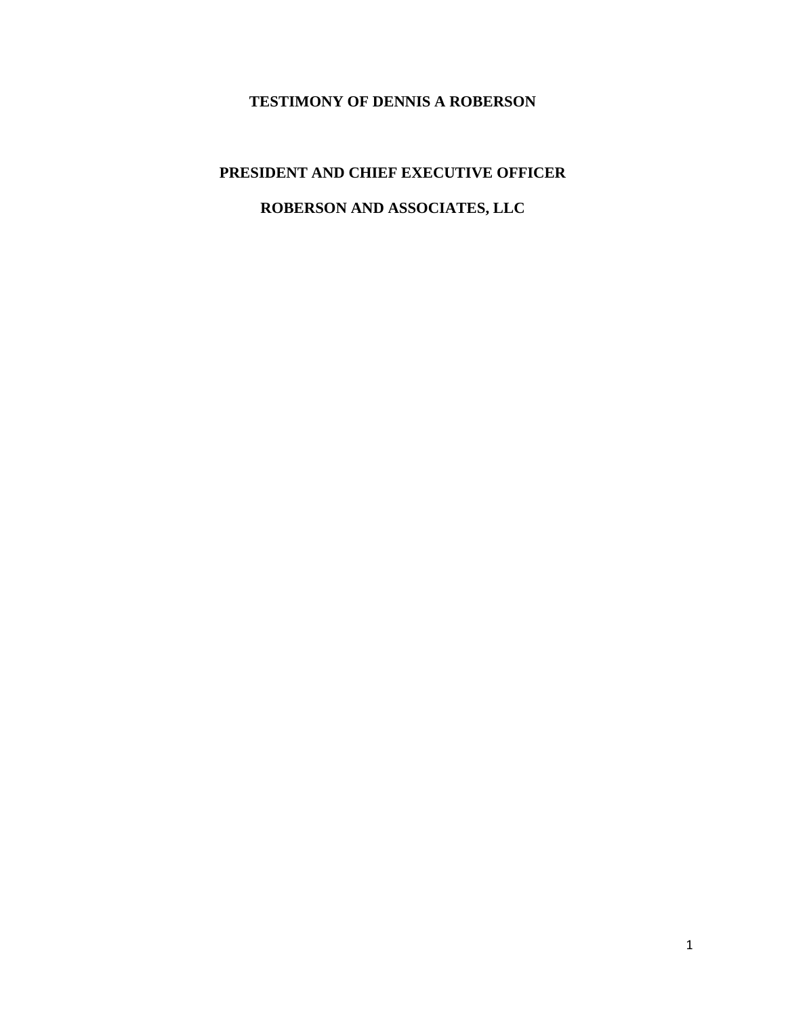## **TESTIMONY OF DENNIS A ROBERSON**

## **PRESIDENT AND CHIEF EXECUTIVE OFFICER ROBERSON AND ASSOCIATES, LLC**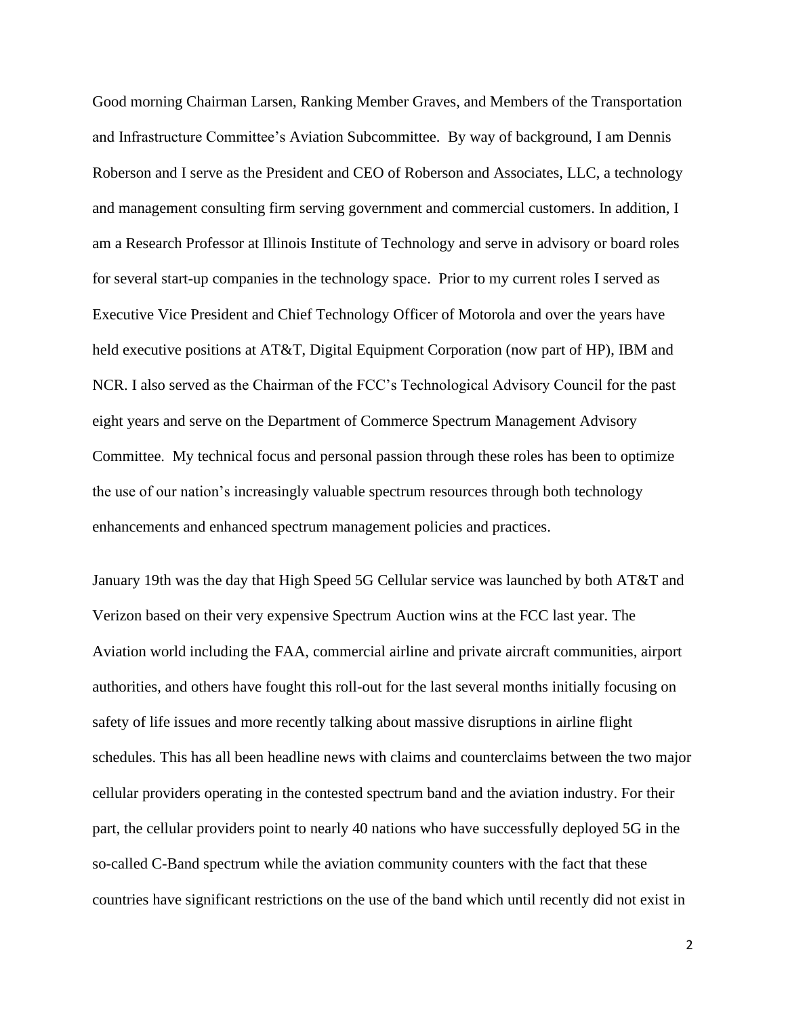Good morning Chairman Larsen, Ranking Member Graves, and Members of the Transportation and Infrastructure Committee's Aviation Subcommittee. By way of background, I am Dennis Roberson and I serve as the President and CEO of Roberson and Associates, LLC, a technology and management consulting firm serving government and commercial customers. In addition, I am a Research Professor at Illinois Institute of Technology and serve in advisory or board roles for several start-up companies in the technology space. Prior to my current roles I served as Executive Vice President and Chief Technology Officer of Motorola and over the years have held executive positions at AT&T, Digital Equipment Corporation (now part of HP), IBM and NCR. I also served as the Chairman of the FCC's Technological Advisory Council for the past eight years and serve on the Department of Commerce Spectrum Management Advisory Committee. My technical focus and personal passion through these roles has been to optimize the use of our nation's increasingly valuable spectrum resources through both technology enhancements and enhanced spectrum management policies and practices.

January 19th was the day that High Speed 5G Cellular service was launched by both AT&T and Verizon based on their very expensive Spectrum Auction wins at the FCC last year. The Aviation world including the FAA, commercial airline and private aircraft communities, airport authorities, and others have fought this roll-out for the last several months initially focusing on safety of life issues and more recently talking about massive disruptions in airline flight schedules. This has all been headline news with claims and counterclaims between the two major cellular providers operating in the contested spectrum band and the aviation industry. For their part, the cellular providers point to nearly 40 nations who have successfully deployed 5G in the so-called C-Band spectrum while the aviation community counters with the fact that these countries have significant restrictions on the use of the band which until recently did not exist in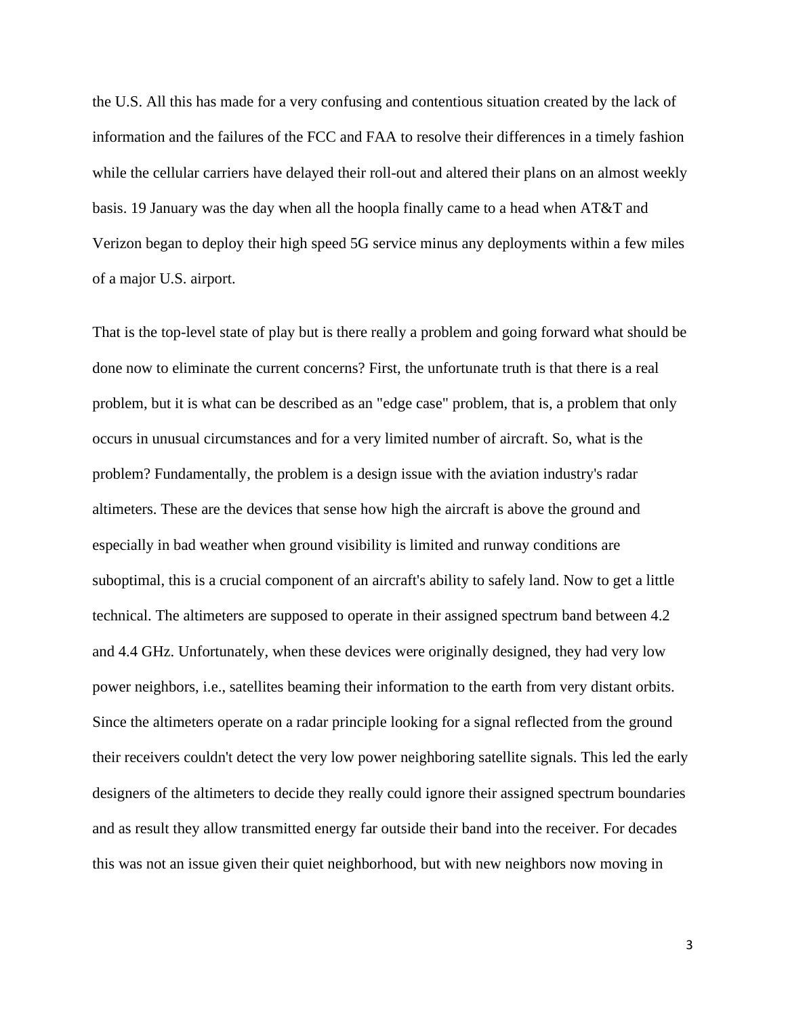the U.S. All this has made for a very confusing and contentious situation created by the lack of information and the failures of the FCC and FAA to resolve their differences in a timely fashion while the cellular carriers have delayed their roll-out and altered their plans on an almost weekly basis. 19 January was the day when all the hoopla finally came to a head when AT&T and Verizon began to deploy their high speed 5G service minus any deployments within a few miles of a major U.S. airport.

That is the top-level state of play but is there really a problem and going forward what should be done now to eliminate the current concerns? First, the unfortunate truth is that there is a real problem, but it is what can be described as an "edge case" problem, that is, a problem that only occurs in unusual circumstances and for a very limited number of aircraft. So, what is the problem? Fundamentally, the problem is a design issue with the aviation industry's radar altimeters. These are the devices that sense how high the aircraft is above the ground and especially in bad weather when ground visibility is limited and runway conditions are suboptimal, this is a crucial component of an aircraft's ability to safely land. Now to get a little technical. The altimeters are supposed to operate in their assigned spectrum band between 4.2 and 4.4 GHz. Unfortunately, when these devices were originally designed, they had very low power neighbors, i.e., satellites beaming their information to the earth from very distant orbits. Since the altimeters operate on a radar principle looking for a signal reflected from the ground their receivers couldn't detect the very low power neighboring satellite signals. This led the early designers of the altimeters to decide they really could ignore their assigned spectrum boundaries and as result they allow transmitted energy far outside their band into the receiver. For decades this was not an issue given their quiet neighborhood, but with new neighbors now moving in

3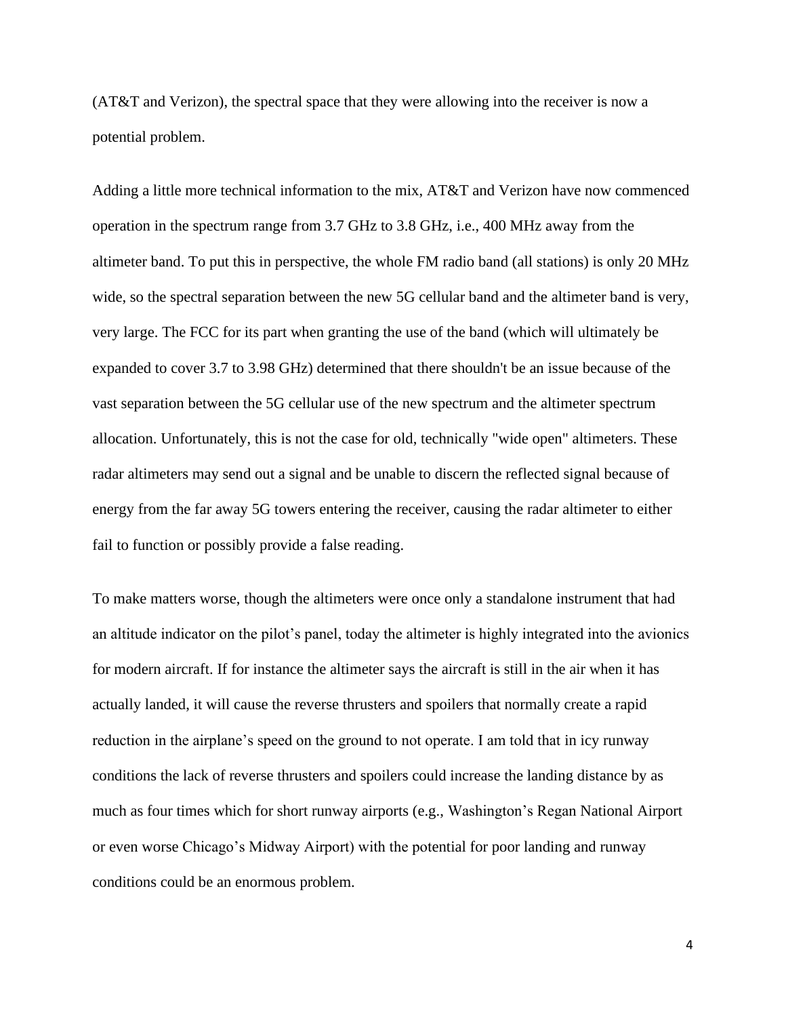(AT&T and Verizon), the spectral space that they were allowing into the receiver is now a potential problem.

Adding a little more technical information to the mix, AT&T and Verizon have now commenced operation in the spectrum range from 3.7 GHz to 3.8 GHz, i.e., 400 MHz away from the altimeter band. To put this in perspective, the whole FM radio band (all stations) is only 20 MHz wide, so the spectral separation between the new 5G cellular band and the altimeter band is very, very large. The FCC for its part when granting the use of the band (which will ultimately be expanded to cover 3.7 to 3.98 GHz) determined that there shouldn't be an issue because of the vast separation between the 5G cellular use of the new spectrum and the altimeter spectrum allocation. Unfortunately, this is not the case for old, technically "wide open" altimeters. These radar altimeters may send out a signal and be unable to discern the reflected signal because of energy from the far away 5G towers entering the receiver, causing the radar altimeter to either fail to function or possibly provide a false reading.

To make matters worse, though the altimeters were once only a standalone instrument that had an altitude indicator on the pilot's panel, today the altimeter is highly integrated into the avionics for modern aircraft. If for instance the altimeter says the aircraft is still in the air when it has actually landed, it will cause the reverse thrusters and spoilers that normally create a rapid reduction in the airplane's speed on the ground to not operate. I am told that in icy runway conditions the lack of reverse thrusters and spoilers could increase the landing distance by as much as four times which for short runway airports (e.g., Washington's Regan National Airport or even worse Chicago's Midway Airport) with the potential for poor landing and runway conditions could be an enormous problem.